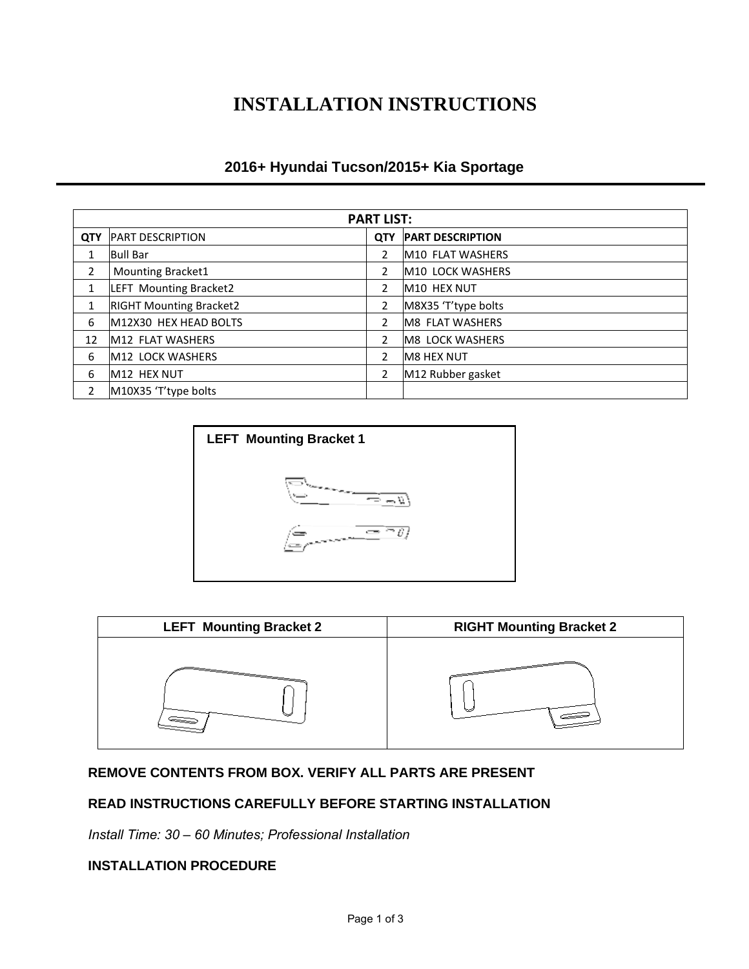# **INSTALLATION INSTRUCTIONS**

## **2016+ Hyundai Tucson/2015+ Kia Sportage**

| <b>PART LIST:</b> |                                |                |                         |
|-------------------|--------------------------------|----------------|-------------------------|
| <b>QTY</b>        | <b>PART DESCRIPTION</b>        | <b>QTY</b>     | <b>PART DESCRIPTION</b> |
| 1                 | <b>Bull Bar</b>                | 2              | M10 FLAT WASHERS        |
| $\overline{2}$    | <b>Mounting Bracket1</b>       | $\overline{2}$ | M10 LOCK WASHERS        |
| 1                 | LEFT Mounting Bracket2         | 2              | M10 HEX NUT             |
| 1                 | <b>RIGHT Mounting Bracket2</b> | 2              | M8X35 'T'type bolts     |
| 6                 | M12X30 HEX HEAD BOLTS          | 2              | M8 FLAT WASHERS         |
| 12                | M12 FLAT WASHERS               | 2              | <b>M8 LOCK WASHERS</b>  |
| 6                 | M12 LOCK WASHERS               | 2              | <b>M8 HEX NUT</b>       |
| 6                 | M12 HEX NUT                    | 2              | M12 Rubber gasket       |
| $\overline{2}$    | M10X35 'T'type bolts           |                |                         |





## **REMOVE CONTENTS FROM BOX. VERIFY ALL PARTS ARE PRESENT**

### **READ INSTRUCTIONS CAREFULLY BEFORE STARTING INSTALLATION**

*Install Time: 30 – 60 Minutes; Professional Installation*

#### **INSTALLATION PROCEDURE**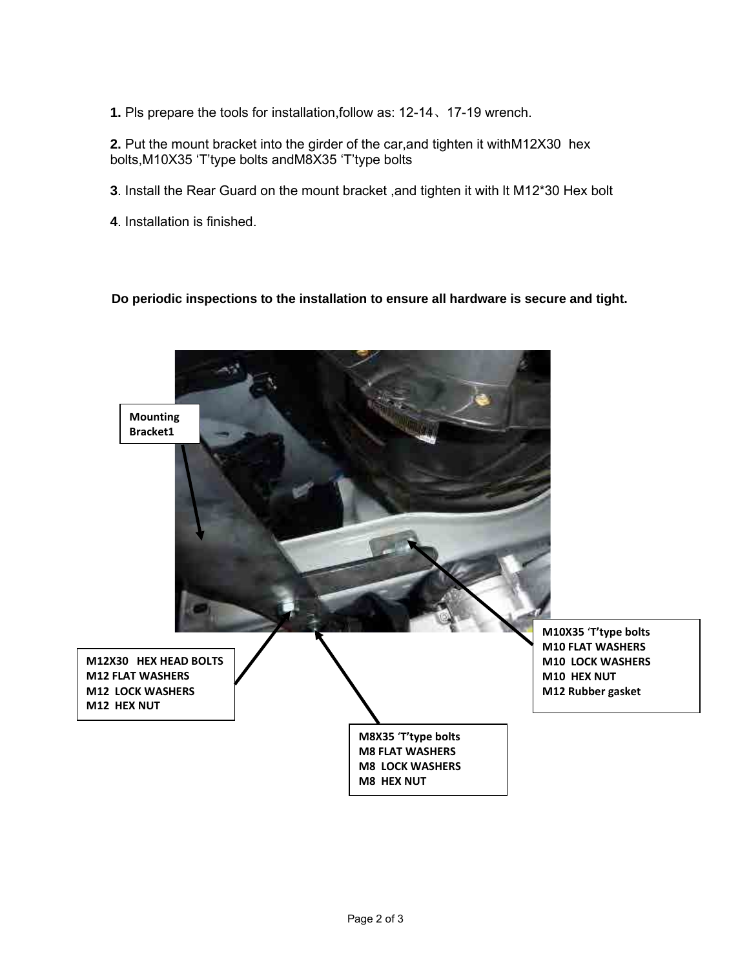**1.** Pls prepare the tools for installation,follow as: 12-14、17-19 wrench.

**2.** Put the mount bracket into the girder of the car,and tighten it withM12X30 hex bolts,M10X35 'T'type bolts andM8X35 'T'type bolts

- **3**. Install the Rear Guard on the mount bracket ,and tighten it with lt M12\*30 Hex bolt
- **4**. Installation is finished.

#### **Do periodic inspections to the installation to ensure all hardware is secure and tight.**